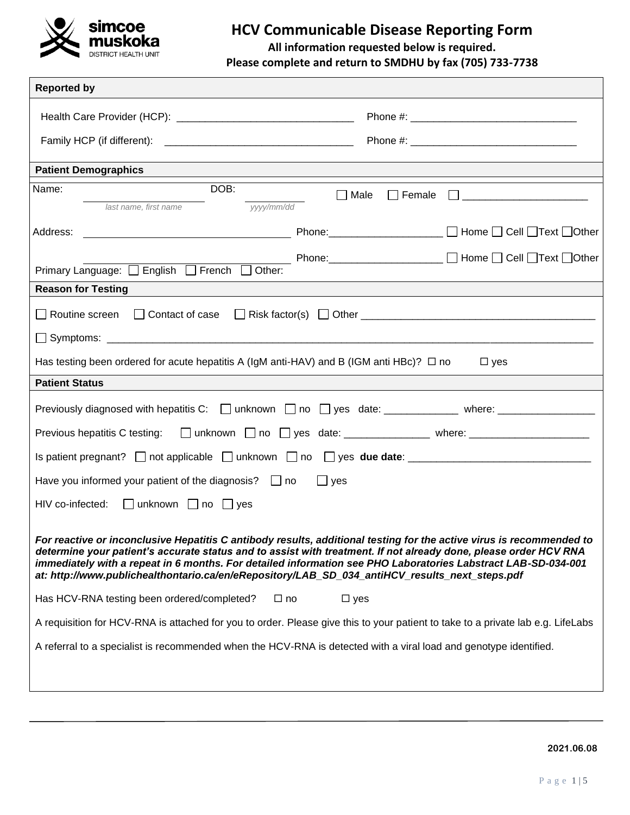

# **HCV Communicable Disease Reporting Form**

**All information requested below is required.** 

**Please complete and return to SMDHU by fax (705) 733-7738**

| <b>Reported by</b>                                                                            |                                                                                                                                                                                                                                                                                                                                                                                                                                                             |
|-----------------------------------------------------------------------------------------------|-------------------------------------------------------------------------------------------------------------------------------------------------------------------------------------------------------------------------------------------------------------------------------------------------------------------------------------------------------------------------------------------------------------------------------------------------------------|
|                                                                                               |                                                                                                                                                                                                                                                                                                                                                                                                                                                             |
|                                                                                               |                                                                                                                                                                                                                                                                                                                                                                                                                                                             |
| <b>Patient Demographics</b>                                                                   |                                                                                                                                                                                                                                                                                                                                                                                                                                                             |
| DOB:<br>Name:<br>last name, first name                                                        | $\Box$ Male $\Box$ Female $\Box$ _______________________<br>vyy/mm/dd                                                                                                                                                                                                                                                                                                                                                                                       |
|                                                                                               |                                                                                                                                                                                                                                                                                                                                                                                                                                                             |
| Primary Language: <b>B</b> English <b>B</b> French <b>B</b> Other:                            | ____________ Phone:_________________________ □ Home □ Cell □Text □Other                                                                                                                                                                                                                                                                                                                                                                                     |
| <b>Reason for Testing</b>                                                                     |                                                                                                                                                                                                                                                                                                                                                                                                                                                             |
|                                                                                               |                                                                                                                                                                                                                                                                                                                                                                                                                                                             |
|                                                                                               |                                                                                                                                                                                                                                                                                                                                                                                                                                                             |
| Has testing been ordered for acute hepatitis A (IgM anti-HAV) and B (IGM anti HBc)? $\Box$ no | $\square$ yes                                                                                                                                                                                                                                                                                                                                                                                                                                               |
| <b>Patient Status</b>                                                                         |                                                                                                                                                                                                                                                                                                                                                                                                                                                             |
|                                                                                               | Previously diagnosed with hepatitis C: □ unknown □ no □ yes date: ____________ where: _____________                                                                                                                                                                                                                                                                                                                                                         |
|                                                                                               | Previous hepatitis C testing: □ unknown □ no □ yes date: ______________ where: ____________________                                                                                                                                                                                                                                                                                                                                                         |
|                                                                                               |                                                                                                                                                                                                                                                                                                                                                                                                                                                             |
| Have you informed your patient of the diagnosis? $\Box$ no $\Box$ yes                         |                                                                                                                                                                                                                                                                                                                                                                                                                                                             |
| HIV co-infected: □ unknown □ no □ yes                                                         |                                                                                                                                                                                                                                                                                                                                                                                                                                                             |
|                                                                                               | For reactive or inconclusive Hepatitis C antibody results, additional testing for the active virus is recommended to<br>determine your patient's accurate status and to assist with treatment. If not already done, please order HCV RNA<br>immediately with a repeat in 6 months. For detailed information see PHO Laboratories Labstract LAB-SD-034-001<br>at: http://www.publichealthontario.ca/en/eRepository/LAB SD 034 antiHCV results next steps.pdf |
| Has HCV-RNA testing been ordered/completed?                                                   | $\Box$ no<br>$\Box$ yes                                                                                                                                                                                                                                                                                                                                                                                                                                     |
|                                                                                               | A requisition for HCV-RNA is attached for you to order. Please give this to your patient to take to a private lab e.g. LifeLabs                                                                                                                                                                                                                                                                                                                             |
|                                                                                               | A referral to a specialist is recommended when the HCV-RNA is detected with a viral load and genotype identified.                                                                                                                                                                                                                                                                                                                                           |
|                                                                                               |                                                                                                                                                                                                                                                                                                                                                                                                                                                             |
|                                                                                               |                                                                                                                                                                                                                                                                                                                                                                                                                                                             |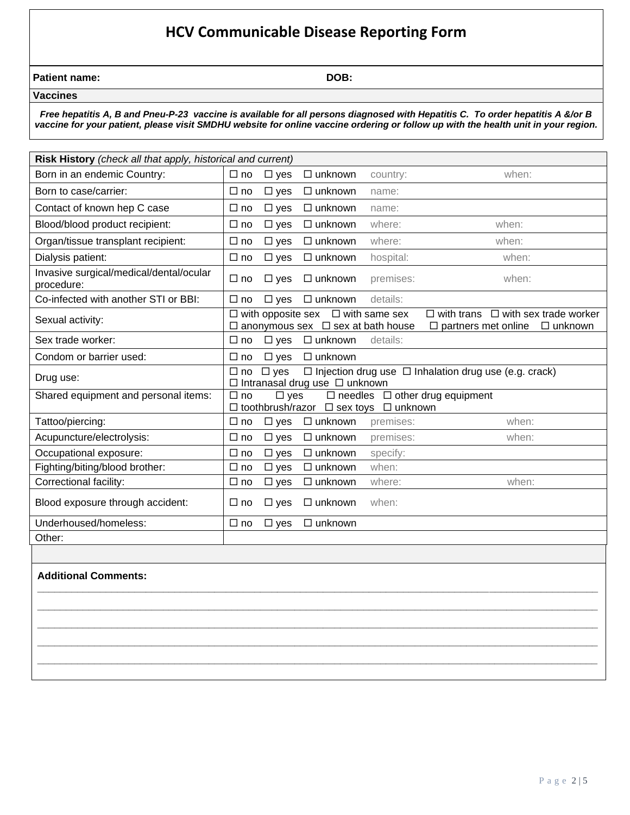# **HCV Communicable Disease Reporting Form**

| <b>Patient name:</b> | DOB: |
|----------------------|------|
|                      |      |

 **Vaccines**

*Free hepatitis A, B and Pneu-P-23 vaccine is available for all persons diagnosed with Hepatitis C. To order hepatitis A &/or B vaccine for your patient, please visit SMDHU website for online vaccine ordering or follow up with the health unit in your region.*

| Risk History (check all that apply, historical and current) |                                                                                                                                              |                                                                                                |           |                                                                                                   |
|-------------------------------------------------------------|----------------------------------------------------------------------------------------------------------------------------------------------|------------------------------------------------------------------------------------------------|-----------|---------------------------------------------------------------------------------------------------|
| Born in an endemic Country:                                 | $\Box$ no<br>$\Box$ yes                                                                                                                      | $\Box$ unknown                                                                                 | country:  | when:                                                                                             |
| Born to case/carrier:                                       | $\Box$ no<br>$\Box$ yes                                                                                                                      | $\Box$ unknown                                                                                 | name:     |                                                                                                   |
| Contact of known hep C case                                 | $\Box$ no<br>$\Box$ yes                                                                                                                      | $\Box$ unknown                                                                                 | name:     |                                                                                                   |
| Blood/blood product recipient:                              | $\Box$ no<br>$\Box$ yes                                                                                                                      | $\Box$ unknown                                                                                 | where:    | when:                                                                                             |
| Organ/tissue transplant recipient:                          | $\Box$ no<br>$\Box$ yes                                                                                                                      | $\Box$ unknown                                                                                 | where:    | when:                                                                                             |
| Dialysis patient:                                           | $\square$ yes<br>$\Box$ no                                                                                                                   | $\Box$ unknown                                                                                 | hospital: | when:                                                                                             |
| Invasive surgical/medical/dental/ocular<br>procedure:       | $\square$ yes<br>$\Box$ no                                                                                                                   | $\Box$ unknown                                                                                 | premises: | when:                                                                                             |
| Co-infected with another STI or BBI:                        | $\square$ yes<br>$\Box$ no                                                                                                                   | $\Box$ unknown                                                                                 | details:  |                                                                                                   |
| Sexual activity:                                            |                                                                                                                                              | $\Box$ with opposite sex $\Box$ with same sex<br>$\Box$ anonymous sex $\Box$ sex at bath house |           | $\Box$ with trans<br>$\Box$ with sex trade worker<br>$\Box$ partners met online<br>$\Box$ unknown |
| Sex trade worker:                                           | $\Box$ yes<br>$\Box$ no                                                                                                                      | $\Box$ unknown                                                                                 | details:  |                                                                                                   |
| Condom or barrier used:                                     | $\Box$ yes<br>$\Box$ no                                                                                                                      | $\Box$ unknown                                                                                 |           |                                                                                                   |
| Drug use:                                                   | $\Box$ Injection drug use $\Box$ Inhalation drug use (e.g. crack)<br>$\Box$ no<br>$\square$ yes<br>$\Box$ Intranasal drug use $\Box$ unknown |                                                                                                |           |                                                                                                   |
| Shared equipment and personal items:                        | $\Box$ needles $\Box$ other drug equipment<br>$\Box$ yes<br>$\Box$ no<br>$\Box$ toothbrush/razor $\Box$ sex toys $\Box$ unknown              |                                                                                                |           |                                                                                                   |
| Tattoo/piercing:                                            | $\Box$ no<br>$\Box$ yes                                                                                                                      | $\Box$ unknown                                                                                 | premises: | when:                                                                                             |
| Acupuncture/electrolysis:                                   | $\Box$ no<br>$\Box$ yes                                                                                                                      | $\Box$ unknown                                                                                 | premises: | when:                                                                                             |
| Occupational exposure:                                      | $\Box$ no<br>$\Box$ yes                                                                                                                      | $\Box$ unknown                                                                                 | specify:  |                                                                                                   |
| Fighting/biting/blood brother:                              | $\Box$ no<br>$\square$ yes                                                                                                                   | $\Box$ unknown                                                                                 | when:     |                                                                                                   |
| Correctional facility:                                      | $\Box$ no<br>$\Box$ yes                                                                                                                      | $\Box$ unknown                                                                                 | where:    | when:                                                                                             |
| Blood exposure through accident:                            | $\Box$ no<br>$\Box$ yes                                                                                                                      | $\Box$ unknown                                                                                 | when:     |                                                                                                   |
| Underhoused/homeless:                                       | $\Box$ no<br>$\Box$ yes                                                                                                                      | $\Box$ unknown                                                                                 |           |                                                                                                   |
| Other:                                                      |                                                                                                                                              |                                                                                                |           |                                                                                                   |
|                                                             |                                                                                                                                              |                                                                                                |           |                                                                                                   |

**\_\_\_\_\_\_\_\_\_\_\_\_\_\_\_\_\_\_\_\_\_\_\_\_\_\_\_\_\_\_\_\_\_\_\_\_\_\_\_\_\_\_\_\_\_\_\_\_\_\_\_\_\_\_\_\_\_\_\_\_\_\_\_\_\_\_\_\_\_\_\_\_\_\_\_\_\_\_\_\_\_\_\_\_\_\_\_\_\_\_\_\_\_\_\_\_\_\_ \_\_\_\_\_\_\_\_\_\_\_\_\_\_\_\_\_\_\_\_\_\_\_\_\_\_\_\_\_\_\_\_\_\_\_\_\_\_\_\_\_\_\_\_\_\_\_\_\_\_\_\_\_\_\_\_\_\_\_\_\_\_\_\_\_\_\_\_\_\_\_\_\_\_\_\_\_\_\_\_\_\_\_\_\_\_\_\_\_\_\_\_\_\_\_\_\_\_ \_\_\_\_\_\_\_\_\_\_\_\_\_\_\_\_\_\_\_\_\_\_\_\_\_\_\_\_\_\_\_\_\_\_\_\_\_\_\_\_\_\_\_\_\_\_\_\_\_\_\_\_\_\_\_\_\_\_\_\_\_\_\_\_\_\_\_\_\_\_\_\_\_\_\_\_\_\_\_\_\_\_\_\_\_\_\_\_\_\_\_\_\_\_\_\_\_\_ \_\_\_\_\_\_\_\_\_\_\_\_\_\_\_\_\_\_\_\_\_\_\_\_\_\_\_\_\_\_\_\_\_\_\_\_\_\_\_\_\_\_\_\_\_\_\_\_\_\_\_\_\_\_\_\_\_\_\_\_\_\_\_\_\_\_\_\_\_\_\_\_\_\_\_\_\_\_\_\_\_\_\_\_\_\_\_\_\_\_\_\_\_\_\_\_\_\_ \_\_\_\_\_\_\_\_\_\_\_\_\_\_\_\_\_\_\_\_\_\_\_\_\_\_\_\_\_\_\_\_\_\_\_\_\_\_\_\_\_\_\_\_\_\_\_\_\_\_\_\_\_\_\_\_\_\_\_\_\_\_\_\_\_\_\_\_\_\_\_\_\_\_\_\_\_\_\_\_\_\_\_\_\_\_\_\_\_\_\_\_\_\_\_\_\_\_**

#### **Additional Comments:**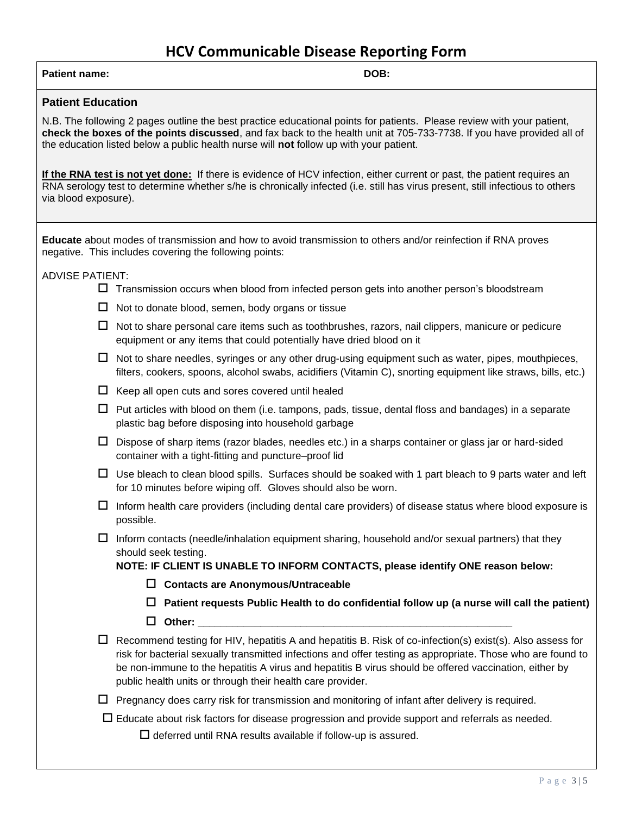## **HCV Communicable Disease Reporting Form**

| <b>Patient name:</b> | DOB: |
|----------------------|------|
|                      |      |

#### **Patient Education**

N.B. The following 2 pages outline the best practice educational points for patients. Please review with your patient, **check the boxes of the points discussed**, and fax back to the health unit at 705-733-7738. If you have provided all of the education listed below a public health nurse will **not** follow up with your patient.

**If the RNA test is not yet done:** If there is evidence of HCV infection, either current or past, the patient requires an RNA serology test to determine whether s/he is chronically infected (i.e. still has virus present, still infectious to others via blood exposure).

**Educate** about modes of transmission and how to avoid transmission to others and/or reinfection if RNA proves negative. This includes covering the following points:

ADVISE PATIENT:

- $\Box$  Transmission occurs when blood from infected person gets into another person's bloodstream
- $\Box$  Not to donate blood, semen, body organs or tissue
- $\Box$  Not to share personal care items such as toothbrushes, razors, nail clippers, manicure or pedicure equipment or any items that could potentially have dried blood on it
- $\Box$  Not to share needles, syringes or any other drug-using equipment such as water, pipes, mouthpieces, filters, cookers, spoons, alcohol swabs, acidifiers (Vitamin C), snorting equipment like straws, bills, etc.)
- $\Box$  Keep all open cuts and sores covered until healed
- $\Box$  Put articles with blood on them (i.e. tampons, pads, tissue, dental floss and bandages) in a separate plastic bag before disposing into household garbage
- $\Box$  Dispose of sharp items (razor blades, needles etc.) in a sharps container or glass jar or hard-sided container with a tight-fitting and puncture–proof lid
- $\Box$  Use bleach to clean blood spills. Surfaces should be soaked with 1 part bleach to 9 parts water and left for 10 minutes before wiping off. Gloves should also be worn.
- $\Box$  Inform health care providers (including dental care providers) of disease status where blood exposure is possible.
- $\Box$  Inform contacts (needle/inhalation equipment sharing, household and/or sexual partners) that they should seek testing.

**NOTE: IF CLIENT IS UNABLE TO INFORM CONTACTS, please identify ONE reason below:**

- **Contacts are Anonymous/Untraceable**
- **Patient requests Public Health to do confidential follow up (a nurse will call the patient)**
- $\square$  Other:
- $\Box$  Recommend testing for HIV, hepatitis A and hepatitis B. Risk of co-infection(s) exist(s). Also assess for risk for bacterial sexually transmitted infections and offer testing as appropriate. Those who are found to be non-immune to the hepatitis A virus and hepatitis B virus should be offered vaccination, either by public health units or through their health care provider.
- $\Box$  Pregnancy does carry risk for transmission and monitoring of infant after delivery is required.

 $\Box$  Educate about risk factors for disease progression and provide support and referrals as needed.

 $\square$  deferred until RNA results available if follow-up is assured.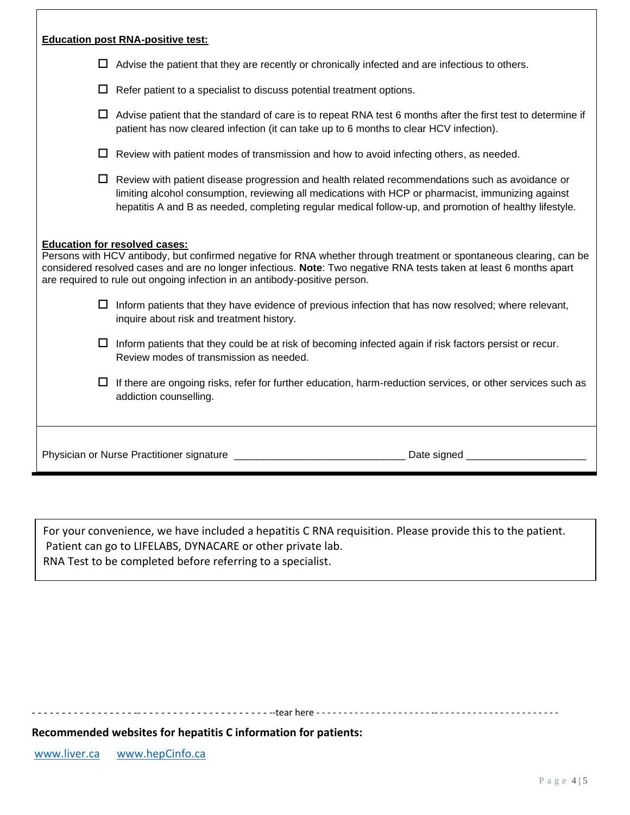|         | <b>Education post RNA-positive test:</b>                                                                                                                                                                                                                                                                                                                        |
|---------|-----------------------------------------------------------------------------------------------------------------------------------------------------------------------------------------------------------------------------------------------------------------------------------------------------------------------------------------------------------------|
| $\perp$ | Advise the patient that they are recently or chronically infected and are infectious to others.                                                                                                                                                                                                                                                                 |
| ΙI      | Refer patient to a specialist to discuss potential treatment options.                                                                                                                                                                                                                                                                                           |
|         | $\Box$ Advise patient that the standard of care is to repeat RNA test 6 months after the first test to determine if<br>patient has now cleared infection (it can take up to 6 months to clear HCV infection).                                                                                                                                                   |
|         | $\Box$ Review with patient modes of transmission and how to avoid infecting others, as needed.                                                                                                                                                                                                                                                                  |
|         | $\Box$ Review with patient disease progression and health related recommendations such as avoidance or<br>limiting alcohol consumption, reviewing all medications with HCP or pharmacist, immunizing against<br>hepatitis A and B as needed, completing regular medical follow-up, and promotion of healthy lifestyle.                                          |
|         | <b>Education for resolved cases:</b><br>Persons with HCV antibody, but confirmed negative for RNA whether through treatment or spontaneous clearing, can be<br>considered resolved cases and are no longer infectious. Note: Two negative RNA tests taken at least 6 months apart<br>are required to rule out ongoing infection in an antibody-positive person. |
|         | $\Box$ Inform patients that they have evidence of previous infection that has now resolved; where relevant,<br>inquire about risk and treatment history.                                                                                                                                                                                                        |
|         | $\Box$ Inform patients that they could be at risk of becoming infected again if risk factors persist or recur.<br>Review modes of transmission as needed.                                                                                                                                                                                                       |
|         | $\Box$ If there are ongoing risks, refer for further education, harm-reduction services, or other services such as<br>addiction counselling.                                                                                                                                                                                                                    |
|         |                                                                                                                                                                                                                                                                                                                                                                 |

For your convenience, we have included a hepatitis C RNA requisition. Please provide this to the patient. Patient can go to LIFELABS, DYNACARE or other private lab. RNA Test to be completed before referring to a specialist.

- - - - - - - - - - - - - - - - - -- - - - - - - - - - - - - - - - - - - - - - --tear here - - - - - - - - - - - - - - - - - - - - - -- - - - - - - - - - - - - - - - - - - - - - -

**Recommended websites for hepatitis C information for patients:**

[www.liver.ca](http://www.liver.ca/) [www.hepCinfo.ca](http://www.hepcinfo.ca/)